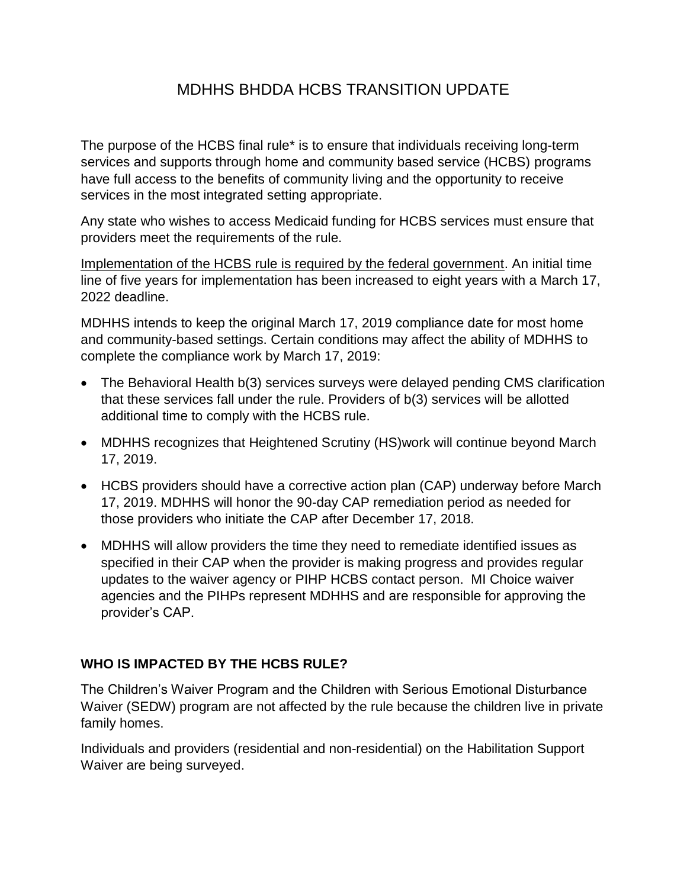# MDHHS BHDDA HCBS TRANSITION UPDATE

The purpose of the HCBS final rule\* is to ensure that individuals receiving long-term services and supports through home and community based service (HCBS) programs have full access to the benefits of community living and the opportunity to receive services in the most integrated setting appropriate.

Any state who wishes to access Medicaid funding for HCBS services must ensure that providers meet the requirements of the rule.

Implementation of the HCBS rule is required by the federal government. An initial time line of five years for implementation has been increased to eight years with a March 17, 2022 deadline.

MDHHS intends to keep the original March 17, 2019 compliance date for most home and community-based settings. Certain conditions may affect the ability of MDHHS to complete the compliance work by March 17, 2019:

- The Behavioral Health b(3) services surveys were delayed pending CMS clarification that these services fall under the rule. Providers of b(3) services will be allotted additional time to comply with the HCBS rule.
- MDHHS recognizes that Heightened Scrutiny (HS)work will continue beyond March 17, 2019.
- HCBS providers should have a corrective action plan (CAP) underway before March 17, 2019. MDHHS will honor the 90-day CAP remediation period as needed for those providers who initiate the CAP after December 17, 2018.
- MDHHS will allow providers the time they need to remediate identified issues as specified in their CAP when the provider is making progress and provides regular updates to the waiver agency or PIHP HCBS contact person. MI Choice waiver agencies and the PIHPs represent MDHHS and are responsible for approving the provider's CAP.

#### **WHO IS IMPACTED BY THE HCBS RULE?**

The Children's Waiver Program and the Children with Serious Emotional Disturbance Waiver (SEDW) program are not affected by the rule because the children live in private family homes.

Individuals and providers (residential and non-residential) on the Habilitation Support Waiver are being surveyed.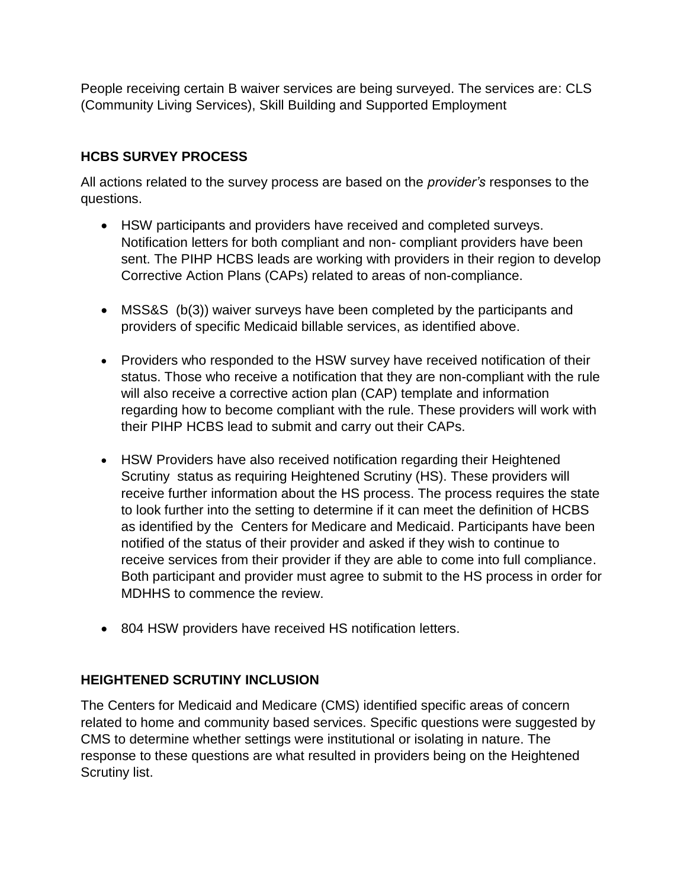People receiving certain B waiver services are being surveyed. The services are: CLS (Community Living Services), Skill Building and Supported Employment

### **HCBS SURVEY PROCESS**

All actions related to the survey process are based on the *provider's* responses to the questions.

- HSW participants and providers have received and completed surveys. Notification letters for both compliant and non- compliant providers have been sent. The PIHP HCBS leads are working with providers in their region to develop Corrective Action Plans (CAPs) related to areas of non-compliance.
- MSS&S (b(3)) waiver surveys have been completed by the participants and providers of specific Medicaid billable services, as identified above.
- Providers who responded to the HSW survey have received notification of their status. Those who receive a notification that they are non-compliant with the rule will also receive a corrective action plan (CAP) template and information regarding how to become compliant with the rule. These providers will work with their PIHP HCBS lead to submit and carry out their CAPs.
- HSW Providers have also received notification regarding their Heightened Scrutiny status as requiring Heightened Scrutiny (HS). These providers will receive further information about the HS process. The process requires the state to look further into the setting to determine if it can meet the definition of HCBS as identified by the Centers for Medicare and Medicaid. Participants have been notified of the status of their provider and asked if they wish to continue to receive services from their provider if they are able to come into full compliance. Both participant and provider must agree to submit to the HS process in order for MDHHS to commence the review.
- 804 HSW providers have received HS notification letters.

## **HEIGHTENED SCRUTINY INCLUSION**

The Centers for Medicaid and Medicare (CMS) identified specific areas of concern related to home and community based services. Specific questions were suggested by CMS to determine whether settings were institutional or isolating in nature. The response to these questions are what resulted in providers being on the Heightened Scrutiny list.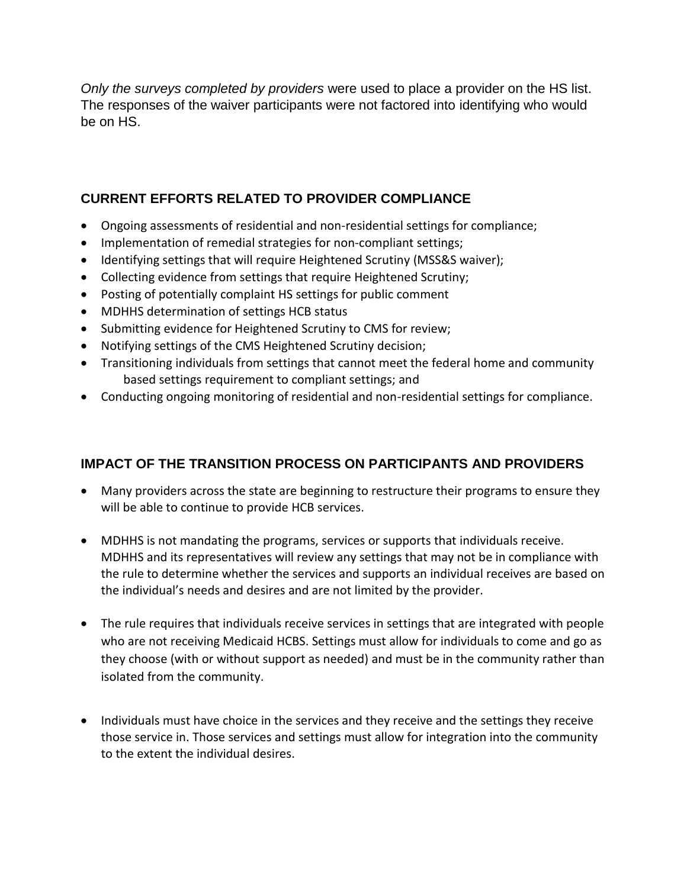*Only the surveys completed by providers* were used to place a provider on the HS list. The responses of the waiver participants were not factored into identifying who would be on HS.

## **CURRENT EFFORTS RELATED TO PROVIDER COMPLIANCE**

- Ongoing assessments of residential and non-residential settings for compliance;
- Implementation of remedial strategies for non-compliant settings;
- Identifying settings that will require Heightened Scrutiny (MSS&S waiver);
- Collecting evidence from settings that require Heightened Scrutiny;
- Posting of potentially complaint HS settings for public comment
- MDHHS determination of settings HCB status
- Submitting evidence for Heightened Scrutiny to CMS for review;
- Notifying settings of the CMS Heightened Scrutiny decision;
- Transitioning individuals from settings that cannot meet the federal home and community based settings requirement to compliant settings; and
- Conducting ongoing monitoring of residential and non-residential settings for compliance.

#### **IMPACT OF THE TRANSITION PROCESS ON PARTICIPANTS AND PROVIDERS**

- Many providers across the state are beginning to restructure their programs to ensure they will be able to continue to provide HCB services.
- MDHHS is not mandating the programs, services or supports that individuals receive. MDHHS and its representatives will review any settings that may not be in compliance with the rule to determine whether the services and supports an individual receives are based on the individual's needs and desires and are not limited by the provider.
- The rule requires that individuals receive services in settings that are integrated with people who are not receiving Medicaid HCBS. Settings must allow for individuals to come and go as they choose (with or without support as needed) and must be in the community rather than isolated from the community.
- Individuals must have choice in the services and they receive and the settings they receive those service in. Those services and settings must allow for integration into the community to the extent the individual desires.